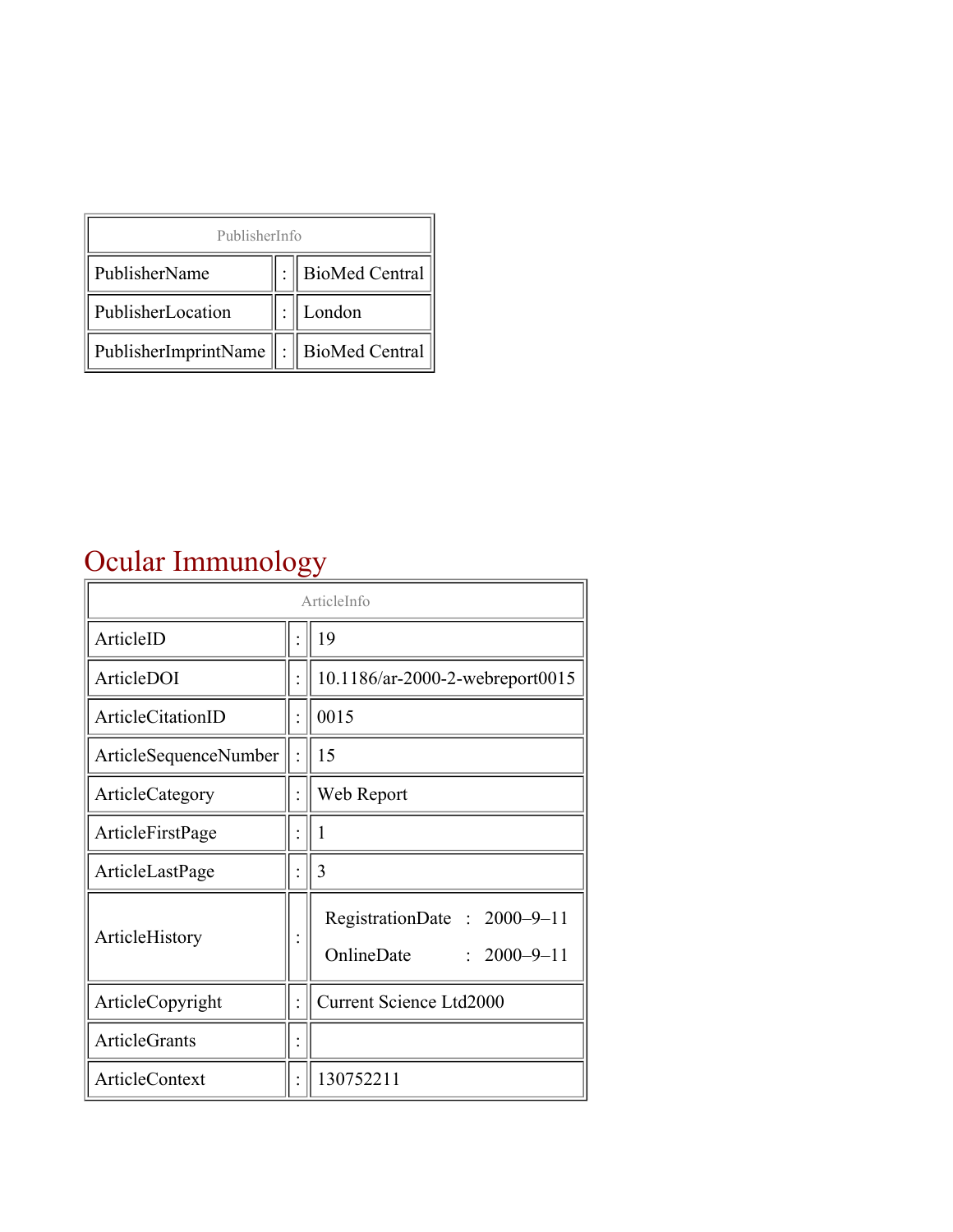| PublisherInfo                               |  |                    |  |  |
|---------------------------------------------|--|--------------------|--|--|
| PublisherName                               |  | :   BioMed Central |  |  |
| PublisherLocation                           |  | London             |  |  |
| PublisherImprintName    :    BioMed Central |  |                    |  |  |

# Ocular Immunology

| Ocular Immunology     |  |                                                                |  |
|-----------------------|--|----------------------------------------------------------------|--|
| ArticleInfo           |  |                                                                |  |
| ArticleID             |  | 19                                                             |  |
| ArticleDOI            |  | 10.1186/ar-2000-2-webreport0015                                |  |
| ArticleCitationID     |  | 0015                                                           |  |
| ArticleSequenceNumber |  | 15                                                             |  |
| ArticleCategory       |  | Web Report                                                     |  |
| ArticleFirstPage      |  | 1                                                              |  |
| ArticleLastPage       |  | 3                                                              |  |
| ArticleHistory        |  | RegistrationDate: 2000-9-11<br>OnlineDate<br>$: 2000 - 9 - 11$ |  |
| ArticleCopyright      |  | <b>Current Science Ltd2000</b>                                 |  |
| ArticleGrants         |  |                                                                |  |
| ArticleContext        |  | 130752211                                                      |  |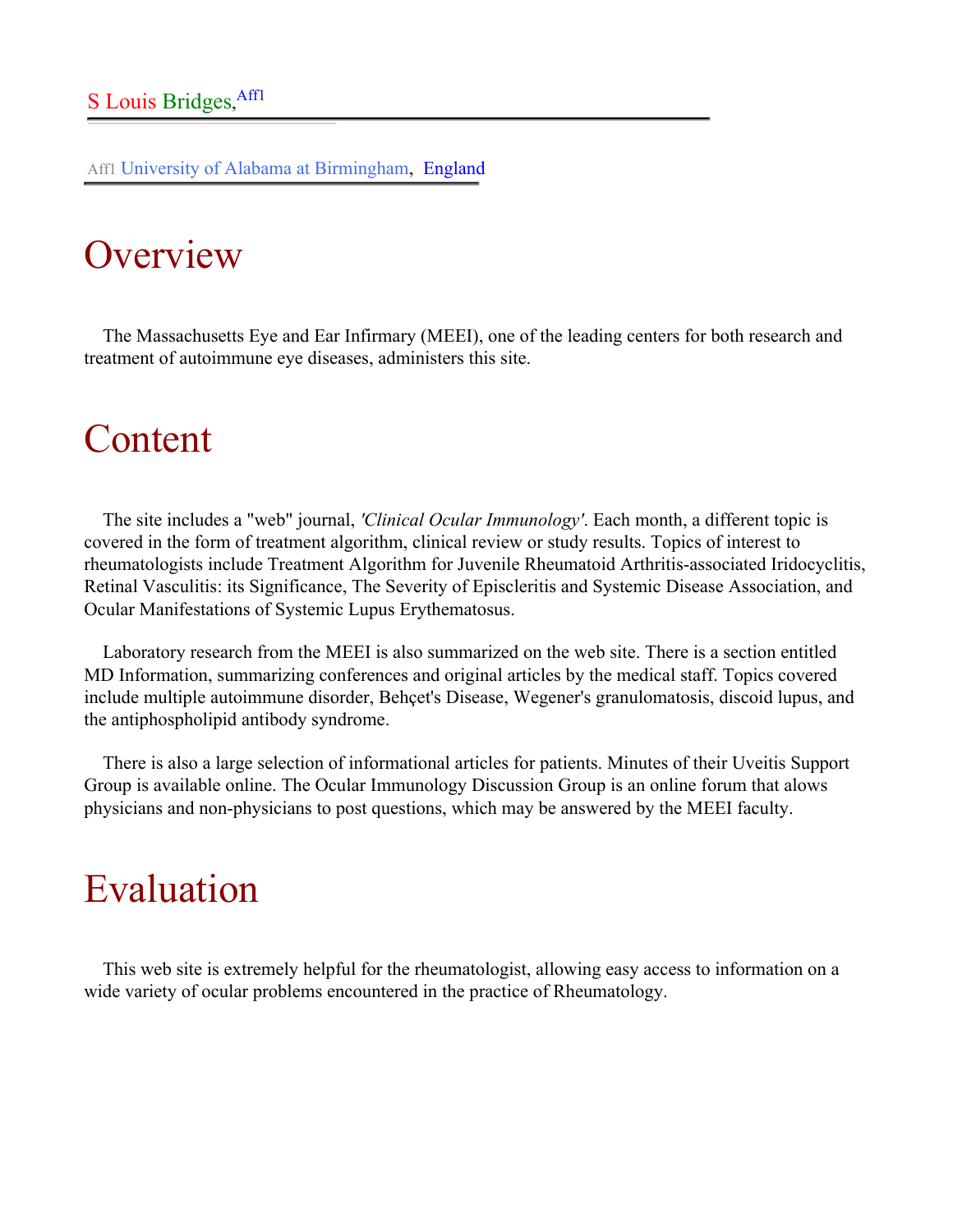Aff1 University of Alabama at Birmingham, England

## **Overview**

The Massachusetts Eye and Ear Infirmary (MEEI), one of the leading centers for both research and treatment of autoimmune eye diseases, administers this site.

### Content

The site includes a "web" journal, *'Clinical Ocular Immunology'*. Each month, a different topic is covered in the form of treatment algorithm, clinical review or study results. Topics of interest to rheumatologists include Treatment Algorithm for Juvenile Rheumatoid Arthritis-associated Iridocyclitis, Retinal Vasculitis: its Significance, The Severity of Episcleritis and Systemic Disease Association, and Ocular Manifestations of Systemic Lupus Erythematosus.

Laboratory research from the MEEI is also summarized on the web site. There is a section entitled MD Information, summarizing conferences and original articles by the medical staff. Topics covered include multiple autoimmune disorder, Behçet's Disease, Wegener's granulomatosis, discoid lupus, and the antiphospholipid antibody syndrome.

There is also a large selection of informational articles for patients. Minutes of their Uveitis Support Group is available online. The Ocular Immunology Discussion Group is an online forum that alows physicians and non-physicians to post questions, which may be answered by the MEEI faculty.

## Evaluation

This web site is extremely helpful for the rheumatologist, allowing easy access to information on a wide variety of ocular problems encountered in the practice of Rheumatology.